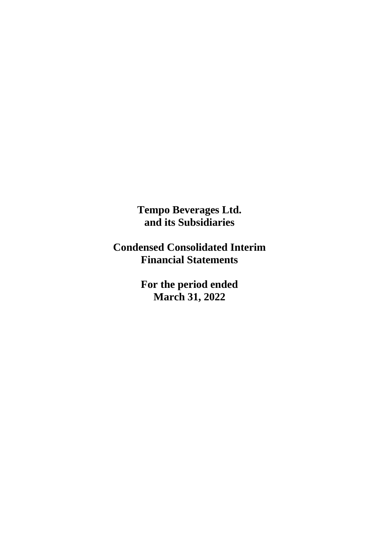**Tempo Beverages Ltd. and its Subsidiaries**

**Condensed Consolidated Interim Financial Statements**

> **For the period ended March 31, 2022**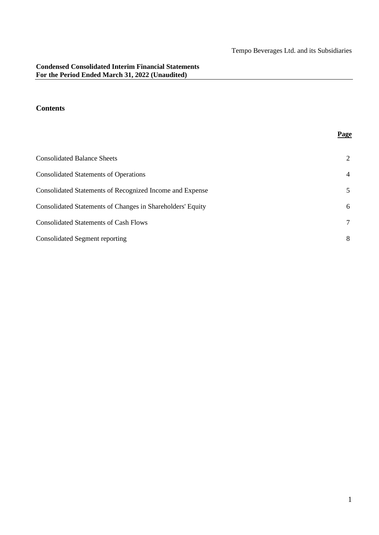**Page**

## **Contents**

# Consolidated Balance Sheets 2 Consolidated Statements of Operations 4 Consolidated Statements of Recognized Income and Expense 5 Consolidated Statements of Changes in Shareholders' Equity 6 Consolidated Statements of Cash Flows 7 Consolidated Segment reporting 8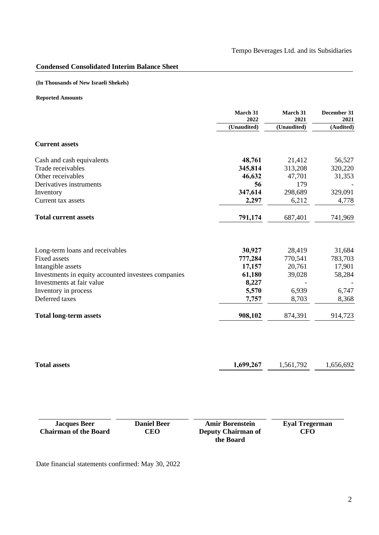## **Condensed Consolidated Interim Balance Sheet**

## **(In Thousands of New Israeli Shekels)**

## **Reported Amounts**

|                                                     |                                  | March 31<br>2022                                                 | March 31<br>2021                    | December 31<br>2021 |
|-----------------------------------------------------|----------------------------------|------------------------------------------------------------------|-------------------------------------|---------------------|
|                                                     |                                  | (Unaudited)                                                      | (Unaudited)                         | (Audited)           |
| <b>Current assets</b>                               |                                  |                                                                  |                                     |                     |
| Cash and cash equivalents                           |                                  | 48,761                                                           | 21,412                              | 56,527              |
| Trade receivables                                   |                                  | 345,814                                                          | 313,208                             | 320,220             |
| Other receivables                                   |                                  | 46,632                                                           | 47,701                              | 31,353              |
| Derivatives instruments                             |                                  | 56                                                               | 179                                 |                     |
| Inventory                                           |                                  | 347,614                                                          | 298,689                             | 329,091             |
| Current tax assets                                  |                                  | 2,297                                                            | 6,212                               | 4,778               |
| <b>Total current assets</b>                         |                                  | 791,174                                                          | 687,401                             | 741,969             |
|                                                     |                                  |                                                                  |                                     |                     |
| Long-term loans and receivables                     |                                  | 30,927                                                           | 28,419                              | 31,684              |
| <b>Fixed assets</b>                                 |                                  | 777,284                                                          | 770,541                             | 783,703             |
| Intangible assets                                   |                                  | 17,157                                                           | 20,761                              | 17,901              |
| Investments in equity accounted investees companies |                                  | 61,180                                                           | 39,028                              | 58,284              |
| Investments at fair value                           |                                  | 8,227<br>5,570                                                   | 6,939                               | 6,747               |
| Inventory in process<br>Deferred taxes              |                                  | 7,757                                                            | 8,703                               | 8,368               |
|                                                     |                                  |                                                                  |                                     |                     |
| <b>Total long-term assets</b>                       |                                  | 908,102                                                          | 874,391                             | 914,723             |
|                                                     |                                  |                                                                  |                                     |                     |
| <b>Total assets</b>                                 |                                  | 1,699,267                                                        | 1,561,792                           | 1,656,692           |
|                                                     |                                  |                                                                  |                                     |                     |
|                                                     |                                  |                                                                  |                                     |                     |
| <b>Jacques Beer</b><br><b>Chairman of the Board</b> | <b>Daniel Beer</b><br><b>CEO</b> | <b>Amir Borenstein</b><br><b>Deputy Chairman of</b><br>the Board | <b>Eyal Tregerman</b><br><b>CFO</b> |                     |

Date financial statements confirmed: May 30, 2022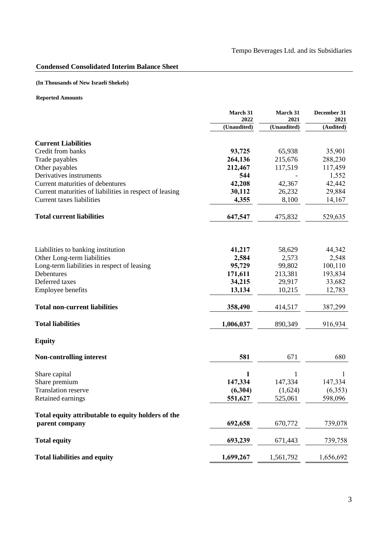## **Condensed Consolidated Interim Balance Sheet**

## **(In Thousands of New Israeli Shekels)**

|                                                         | March 31<br>2022 | March 31<br>2021 | December 31<br>2021 |
|---------------------------------------------------------|------------------|------------------|---------------------|
|                                                         | (Unaudited)      | (Unaudited)      | (Audited)           |
|                                                         |                  |                  |                     |
| <b>Current Liabilities</b>                              |                  |                  |                     |
| Credit from banks                                       | 93,725           | 65,938           | 35,901              |
| Trade payables                                          | 264,136          | 215,676          | 288,230             |
| Other payables                                          | 212,467          | 117,519          | 117,459             |
| Derivatives instruments                                 | 544              |                  | 1,552               |
| Current maturities of debentures                        | 42,208           | 42,367           | 42,442              |
| Current maturities of liabilities in respect of leasing | 30,112           | 26,232           | 29,884              |
| Current taxes liabilities                               | 4,355            | 8,100            | 14,167              |
| <b>Total current liabilities</b>                        | 647,547          | 475,832          | 529,635             |
|                                                         |                  |                  |                     |
| Liabilities to banking institution                      | 41,217           | 58,629           | 44,342              |
| Other Long-term liabilities                             | 2,584            | 2,573            | 2,548               |
| Long-term liabilities in respect of leasing             | 95,729           | 99,802           | 100,110             |
| Debentures                                              | 171,611          | 213,381          | 193,834             |
| Deferred taxes                                          | 34,215           | 29,917           | 33,682              |
| <b>Employee benefits</b>                                | 13,134           | 10,215           | 12,783              |
| <b>Total non-current liabilities</b>                    | 358,490          | 414,517          | 387,299             |
| <b>Total liabilities</b>                                | 1,006,037        | 890,349          | 916,934             |
| <b>Equity</b>                                           |                  |                  |                     |
| <b>Non-controlling interest</b>                         | 581              | 671              | 680                 |
| Share capital                                           | 1                | 1                |                     |
| Share premium                                           | 147,334          | 147,334          | 147,334             |
| <b>Translation reserve</b>                              | (6,304)          | (1,624)          | (6,353)             |
| Retained earnings                                       | 551,627          | 525,061          | 598,096             |
| Total equity attributable to equity holders of the      |                  |                  |                     |
| parent company                                          | 692,658          | 670,772          | 739,078             |
| <b>Total equity</b>                                     | 693,239          | 671,443          | 739,758             |
| <b>Total liabilities and equity</b>                     | 1,699,267        | 1,561,792        | 1,656,692           |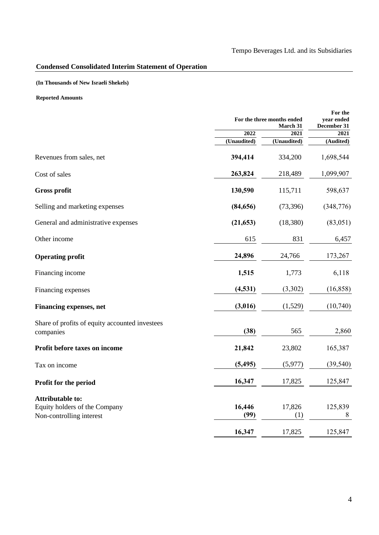## **Condensed Consolidated Interim Statement of Operation**

## **(In Thousands of New Israeli Shekels)**

|                                                                                      |                | For the three months ended<br><b>March 31</b> |                     |
|--------------------------------------------------------------------------------------|----------------|-----------------------------------------------|---------------------|
|                                                                                      | 2022           | 2021                                          | December 31<br>2021 |
|                                                                                      | (Unaudited)    | (Unaudited)                                   | (Audited)           |
| Revenues from sales, net                                                             | 394,414        | 334,200                                       | 1,698,544           |
| Cost of sales                                                                        | 263,824        | 218,489                                       | 1,099,907           |
| <b>Gross profit</b>                                                                  | 130,590        | 115,711                                       | 598,637             |
| Selling and marketing expenses                                                       | (84, 656)      | (73, 396)                                     | (348, 776)          |
| General and administrative expenses                                                  | (21, 653)      | (18, 380)                                     | (83, 051)           |
| Other income                                                                         | 615            | 831                                           | 6,457               |
| <b>Operating profit</b>                                                              | 24,896         | 24,766                                        | 173,267             |
| Financing income                                                                     | 1,515          | 1,773                                         | 6,118               |
| Financing expenses                                                                   | (4, 531)       | (3,302)                                       | (16, 858)           |
| <b>Financing expenses, net</b>                                                       | (3,016)        | (1,529)                                       | (10,740)            |
| Share of profits of equity accounted investees<br>companies                          | (38)           | 565                                           | 2,860               |
| Profit before taxes on income                                                        | 21,842         | 23,802                                        | 165,387             |
| Tax on income                                                                        | (5, 495)       | (5,977)                                       | (39, 540)           |
| Profit for the period                                                                | 16,347         | 17,825                                        | 125,847             |
| <b>Attributable to:</b><br>Equity holders of the Company<br>Non-controlling interest | 16,446<br>(99) | 17,826<br>(1)                                 | 125,839<br>8        |
|                                                                                      | 16,347         | 17,825                                        | 125,847             |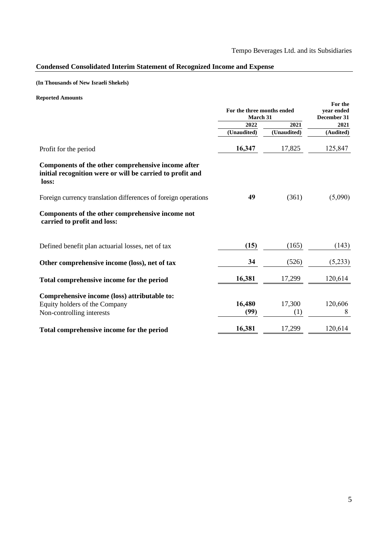## **Condensed Consolidated Interim Statement of Recognized Income and Expense**

## **(In Thousands of New Israeli Shekels)**

|                                                                                                                          | For the three months ended<br>March 31 |               | For the<br>vear ended<br>December 31 |  |
|--------------------------------------------------------------------------------------------------------------------------|----------------------------------------|---------------|--------------------------------------|--|
|                                                                                                                          | 2022                                   | 2021          | 2021                                 |  |
|                                                                                                                          | (Unaudited)                            | (Unaudited)   | (Audited)                            |  |
| Profit for the period                                                                                                    | 16,347                                 | 17,825        | 125,847                              |  |
| Components of the other comprehensive income after<br>initial recognition were or will be carried to profit and<br>loss: |                                        |               |                                      |  |
| Foreign currency translation differences of foreign operations                                                           | 49                                     | (361)         | (5,090)                              |  |
| Components of the other comprehensive income not<br>carried to profit and loss:                                          |                                        |               |                                      |  |
| Defined benefit plan actuarial losses, net of tax                                                                        | (15)                                   | (165)         | (143)                                |  |
| Other comprehensive income (loss), net of tax                                                                            | 34                                     | (526)         | (5,233)                              |  |
| Total comprehensive income for the period                                                                                | 16,381                                 | 17,299        | 120,614                              |  |
| Comprehensive income (loss) attributable to:<br>Equity holders of the Company<br>Non-controlling interests               | 16,480<br>(99)                         | 17,300<br>(1) | 120,606<br>8                         |  |
| Total comprehensive income for the period                                                                                | 16,381                                 | 17,299        | 120,614                              |  |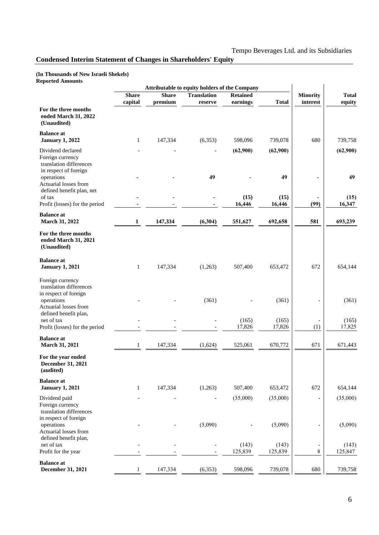## **Condensed Interim Statement of Changes in Shareholders' Equity**

#### **(In Thousands of New Israeli Shekels) Reported Amounts**

|                                                                                           |              | Attributable to equity holders of the Company |                    |                  |                  |                 |                  |
|-------------------------------------------------------------------------------------------|--------------|-----------------------------------------------|--------------------|------------------|------------------|-----------------|------------------|
|                                                                                           | <b>Share</b> | <b>Share</b>                                  | <b>Translation</b> | <b>Retained</b>  |                  | <b>Minority</b> | <b>Total</b>     |
| For the three months<br>ended March 31, 2022<br>(Unaudited)                               | capital      | premium                                       | reserve            | earnings         | <b>Total</b>     | interest        | equity           |
| <b>Balance</b> at<br><b>January 1, 2022</b>                                               | $\mathbf{1}$ | 147,334                                       | (6, 353)           | 598,096          | 739,078          | 680             | 739,758          |
| Dividend declared<br>Foreign currency<br>translation differences                          |              |                                               |                    | (62,900)         | (62,900)         |                 | (62,900)         |
| in respect of foreign<br>operations<br>Actuarial losses from<br>defined benefit plan, net |              |                                               | 49                 |                  | 49               |                 | 49               |
| of tax<br>Profit (losses) for the period                                                  |              |                                               |                    | (15)<br>16,446   | (15)<br>16,446   | (99)            | (15)<br>16,347   |
| <b>Balance</b> at<br>March 31, 2022                                                       | 1            | 147,334                                       | (6,304)            | 551,627          | 692,658          | 581             | 693,239          |
| For the three months<br>ended March 31, 2021<br>(Unaudited)                               |              |                                               |                    |                  |                  |                 |                  |
| <b>Balance</b> at<br><b>January 1, 2021</b>                                               | $\mathbf{1}$ | 147,334                                       | (1,263)            | 507,400          | 653,472          | 672             | 654,144          |
| Foreign currency<br>translation differences<br>in respect of foreign                      |              |                                               |                    |                  |                  |                 |                  |
| operations<br>Actuarial losses from<br>defined benefit plan,                              |              |                                               | (361)              |                  | (361)            |                 | (361)            |
| net of tax<br>Profit (losses) for the period                                              |              |                                               |                    | (165)<br>17,826  | (165)<br>17,826  | (1)             | (165)<br>17,825  |
| <b>Balance</b> at<br>March 31, 2021                                                       | 1            | 147,334                                       | (1,624)            | 525,061          | 670,772          | 671             | 671,443          |
| For the year ended<br><b>December 31, 2021</b><br>(audited)                               |              |                                               |                    |                  |                  |                 |                  |
| <b>Balance</b> at<br><b>January 1, 2021</b>                                               | $\mathbf{1}$ | 147,334                                       | (1,263)            | 507,400          | 653,472          | 672             | 654,144          |
| Dividend paid<br>Foreign currency<br>translation differences                              |              |                                               |                    | (35,000)         | (35,000)         |                 | (35,000)         |
| in respect of foreign<br>operations<br>Actuarial losses from<br>defined benefit plan,     |              |                                               | (5,090)            |                  | (5,090)          |                 | (5,090)          |
| net of tax<br>Profit for the year                                                         |              |                                               |                    | (143)<br>125,839 | (143)<br>125,839 | 8               | (143)<br>125,847 |
| <b>Balance at</b><br>December 31, 2021                                                    | $\mathbf{1}$ | 147,334                                       | (6, 353)           | 598,096          | 739,078          | 680             | 739,758          |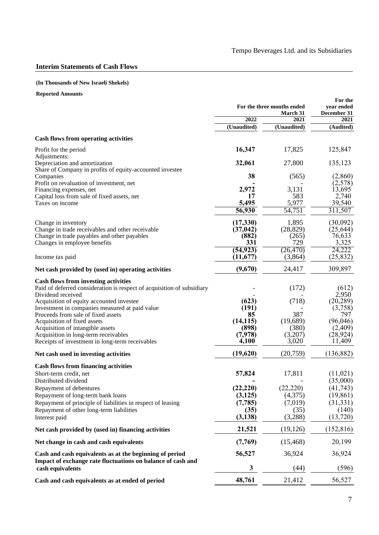## **Interim Statements of Cash Flows**

#### **(In Thousands of New Israeli Shekels)**

|                                                                                                         |                        | For the three months ended<br>March 31 | For the<br>year ended<br>December 31 |  |
|---------------------------------------------------------------------------------------------------------|------------------------|----------------------------------------|--------------------------------------|--|
|                                                                                                         | 2022                   | 2021                                   | 2021                                 |  |
|                                                                                                         | (Unaudited)            | (Unaudited)                            | (Audited)                            |  |
| <b>Cash flows from operating activities</b>                                                             |                        |                                        |                                      |  |
| Profit for the period<br>Adjustments:                                                                   | 16,347                 | 17,825                                 | 125,847                              |  |
| Depreciation and amortization<br>Share of Company in profits of equity-accounted investee               | 32,061                 | 27,800                                 | 135,123                              |  |
| Companies<br>Profit on revaluation of investment, net                                                   | 38                     | (565)                                  | (2,860)<br>(2,578)                   |  |
| Financing expenses, net                                                                                 | 2,972                  | 3,131                                  | 13,695                               |  |
| Capital loss from sale of fixed assets, net                                                             | 17                     | 583                                    | 2,740                                |  |
| Taxes on income                                                                                         | 5,495<br>56,930        | 5,977<br>54,751                        | 39,540<br>311,507                    |  |
| Change in inventory                                                                                     | (17,330)               | 1,895                                  | (30,092)                             |  |
| Change in trade receivables and other receivable                                                        | (37, 042)              | (28, 829)                              | (25, 644)                            |  |
| Change in trade payables and other payables                                                             | (882)                  | (265)                                  | 76,633                               |  |
| Changes in employee benefits                                                                            | 331                    | 729                                    | 3,325                                |  |
| Income tax paid                                                                                         | (54, 923)<br>(11, 677) | (26, 470)<br>(3,864)                   | 24,222<br>(25, 832)                  |  |
| Net cash provided by (used in) operating activities                                                     | (9,670)                | 24,417                                 | 309,897                              |  |
| <b>Cash flows from investing activities</b>                                                             |                        |                                        |                                      |  |
| Paid of deferred consideration is respect of acquisition of subsidiary<br>Dividend received             |                        | (172)                                  | (612)<br>2,950                       |  |
| Acquisition of equity accounted investee                                                                | (623)                  | (718)                                  | (20, 289)                            |  |
| Investment in companies measured at paid value                                                          | (191)                  |                                        | (3,758)                              |  |
| Proceeds from sale of fixed assets<br>Acquisition of fixed assets                                       | 85<br>(14, 115)        | 387<br>(19,689)                        | 797<br>(96,046)                      |  |
| Acquisition of intangible assets                                                                        | (898)                  | (380)                                  | (2,409)                              |  |
| Acquisition in long-term receivables                                                                    | (7,978)                | (3,207)                                | (28, 924)                            |  |
| Receipts of investment in long-term receivables                                                         | 4,100                  | 3,020                                  | 11,409                               |  |
| Net cash used in investing activities                                                                   | (19,620)               | (20,759)                               | (136, 882)                           |  |
| <b>Cash flows from financing activities</b>                                                             |                        |                                        |                                      |  |
| Short-term credit, net                                                                                  | 57,824                 | 17,811                                 | (11, 021)                            |  |
| Distributed dividend                                                                                    |                        |                                        | (35,000)                             |  |
| Repayment of debentures                                                                                 | (22, 220)              | (22, 220)                              | (41, 743)                            |  |
| Repayment of long-term bank loans                                                                       | (3, 125)               | (4,375)<br>(7,019)                     | (19, 861)                            |  |
| Repayment of principle of liabilities in respect of leasing<br>Repayment of other long-term liabilities | (7, 785)<br>(35)       | (35)                                   | (31, 331)<br>(140)                   |  |
| Interest paid                                                                                           | (3,138)                | (3,288)                                | (13,720)                             |  |
| Net cash provided by (used in) financing activities                                                     | 21,521                 | (19, 126)                              | (152, 816)                           |  |
| Net change in cash and cash equivalents                                                                 | (7,769)                | (15, 468)                              | 20,199                               |  |
| Cash and cash equivalents as at the beginning of period                                                 | 56,527                 | 36,924                                 | 36,924                               |  |
| Impact of exchange rate fluctuations on balance of cash and<br>cash equivalents                         | 3                      | (44)                                   | (596)                                |  |
| Cash and cash equivalents as at ended of period                                                         | 48,761                 | 21,412                                 | 56,527                               |  |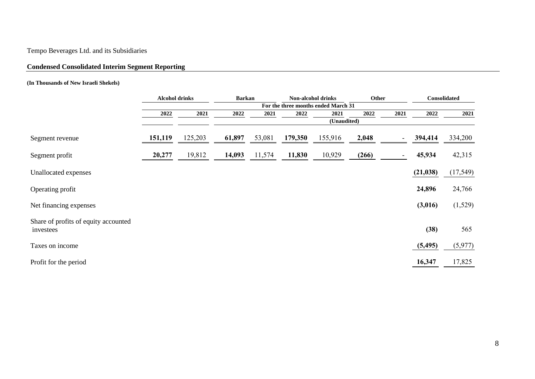# Tempo Beverages Ltd. and its Subsidiaries

## **Condensed Consolidated Interim Segment Reporting**

## **(In Thousands of New Israeli Shekels)**

|                                                   | <b>Alcohol drinks</b><br><b>Barkan</b> |         | <b>Non-alcohol drinks</b> |        |         | Other                               |       | Consolidated             |           |           |
|---------------------------------------------------|----------------------------------------|---------|---------------------------|--------|---------|-------------------------------------|-------|--------------------------|-----------|-----------|
|                                                   |                                        |         |                           |        |         | For the three months ended March 31 |       |                          |           |           |
|                                                   | 2022                                   | 2021    | 2022                      | 2021   | 2022    | 2021                                | 2022  | 2021                     | 2022      | 2021      |
|                                                   |                                        |         |                           |        |         | (Unaudited)                         |       |                          |           |           |
| Segment revenue                                   | 151,119                                | 125,203 | 61,897                    | 53,081 | 179,350 | 155,916                             | 2,048 | $\overline{\phantom{a}}$ | 394,414   | 334,200   |
| Segment profit                                    | 20,277                                 | 19,812  | 14,093                    | 11,574 | 11,830  | 10,929                              | (266) |                          | 45,934    | 42,315    |
| Unallocated expenses                              |                                        |         |                           |        |         |                                     |       |                          | (21, 038) | (17, 549) |
| Operating profit                                  |                                        |         |                           |        |         |                                     |       |                          | 24,896    | 24,766    |
| Net financing expenses                            |                                        |         |                           |        |         |                                     |       |                          | (3,016)   | (1,529)   |
| Share of profits of equity accounted<br>investees |                                        |         |                           |        |         |                                     |       |                          | (38)      | 565       |
| Taxes on income                                   |                                        |         |                           |        |         |                                     |       |                          | (5, 495)  | (5, 977)  |
| Profit for the period                             |                                        |         |                           |        |         |                                     |       |                          | 16,347    | 17,825    |